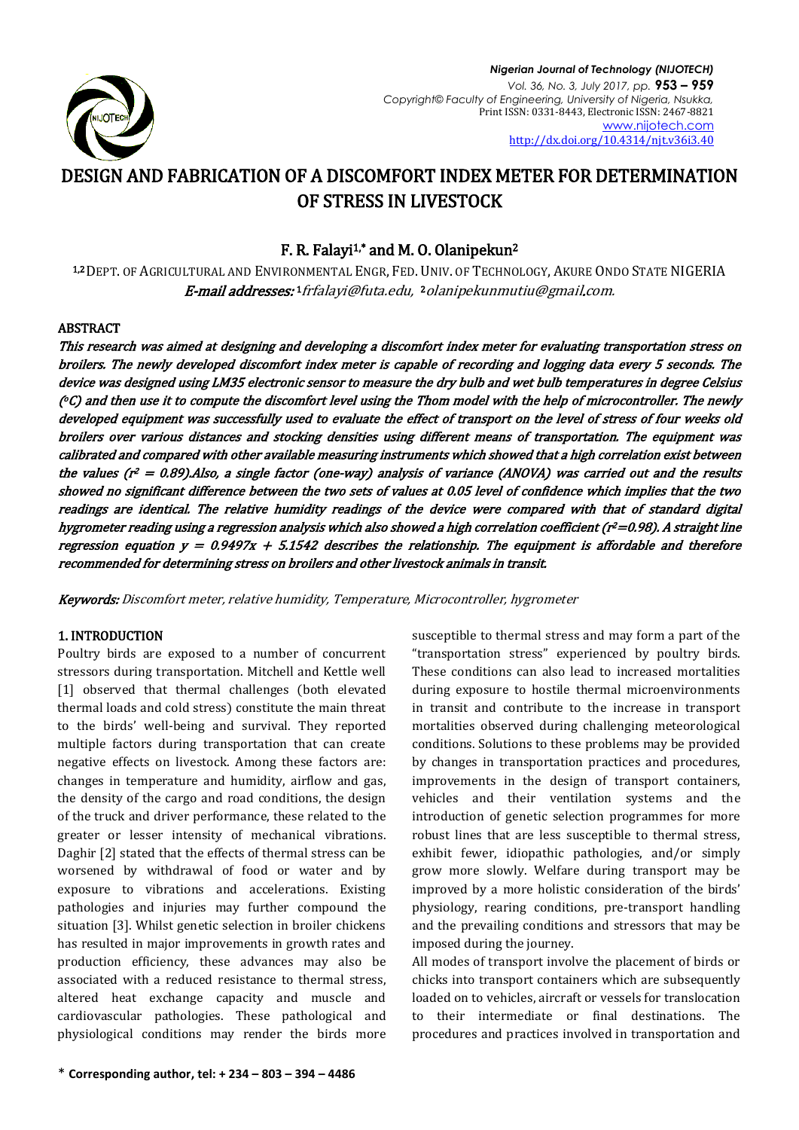

# DESIGN AND FABRICATION OF A DISCOMFORT INDEX METER FOR DETERMINATION OF STRESS IN LIVESTOCK

# F. R. Falayi<sup>1,\*</sup> and M. O. Olanipekun<sup>2</sup>

1,2 DEPT. OF AGRICULTURAL AND ENVIRONMENTAL ENGR, FED. UNIV. OF TECHNOLOGY, AKURE ONDO STATE NIGERIA **E-mail addresses:** 1 [frfalayi@futa.edu,](mailto:1frfalayi@futa.edu.) 2 [olanipekunmutiu@gmail.com.](mailto:2olanipekunmutiu@gmail.com)

# ABSTRACT

This research was aimed at designing and developing a discomfort index meter for evaluating transportation stress on broilers. The newly developed discomfort index meter is capable of recording and logging data every 5 seconds. The device was designed using LM35 electronic sensor to measure the dry bulb and wet bulb temperatures in degree Celsius (°C) and then use it to compute the discomfort level using the Thom model with the help of microcontroller. The newly developed equipment was successfully used to evaluate the effect of transport on the level of stress of four weeks old broilers over various distances and stocking densities using different means of transportation. The equipment was calibrated and compared with other available measuring instruments which showed that a high correlation exist between the values (r 2 = 0.89).Also, a single factor (one-way) analysis of variance (ANOVA) was carried out and the results showed no significant difference between the two sets of values at 0.05 level of confidence which implies that the two readings are identical. The relative humidity readings of the device were compared with that of standard digital hygrometer reading using a regression analysis which also showed a high correlation coefficient (r <sup>2</sup>=0.98). A straight line regression equation  $y = 0.9497x + 5.1542$  describes the relationship. The equipment is affordable and therefore recommended for determining stress on broilers and other livestock animals in transit.

Keywords: Discomfort meter, relative humidity, Temperature, Microcontroller, hygrometer

# 1. INTRODUCTION

Poultry birds are exposed to a number of concurrent stressors during transportation. Mitchell and Kettle well [1] observed that thermal challenges (both elevated thermal loads and cold stress) constitute the main threat to the birds' well-being and survival. They reported multiple factors during transportation that can create negative effects on livestock. Among these factors are: changes in temperature and humidity, airflow and gas, the density of the cargo and road conditions, the design of the truck and driver performance, these related to the greater or lesser intensity of mechanical vibrations. Daghir [2] stated that the effects of thermal stress can be worsened by withdrawal of food or water and by exposure to vibrations and accelerations. Existing pathologies and injuries may further compound the situation [3]. Whilst genetic selection in broiler chickens has resulted in major improvements in growth rates and production efficiency, these advances may also be associated with a reduced resistance to thermal stress, altered heat exchange capacity and muscle and cardiovascular pathologies. These pathological and physiological conditions may render the birds more susceptible to thermal stress and may form a part of the "transportation stress" experienced by poultry birds. These conditions can also lead to increased mortalities during exposure to hostile thermal microenvironments in transit and contribute to the increase in transport mortalities observed during challenging meteorological conditions. Solutions to these problems may be provided by changes in transportation practices and procedures, improvements in the design of transport containers, vehicles and their ventilation systems and the introduction of genetic selection programmes for more robust lines that are less susceptible to thermal stress, exhibit fewer, idiopathic pathologies, and/or simply grow more slowly. Welfare during transport may be improved by a more holistic consideration of the birds' physiology, rearing conditions, pre-transport handling and the prevailing conditions and stressors that may be imposed during the journey.

All modes of transport involve the placement of birds or chicks into transport containers which are subsequently loaded on to vehicles, aircraft or vessels for translocation to their intermediate or final destinations. The procedures and practices involved in transportation and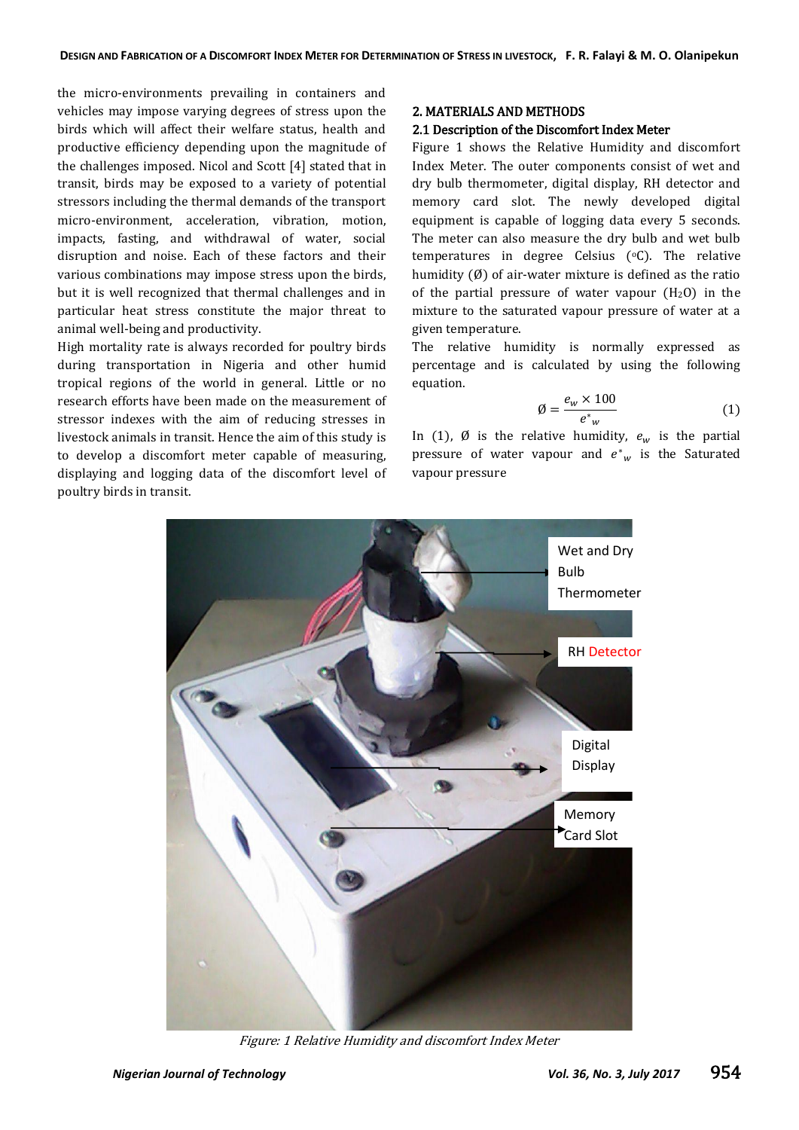the micro-environments prevailing in containers and vehicles may impose varying degrees of stress upon the birds which will affect their welfare status, health and productive efficiency depending upon the magnitude of the challenges imposed. Nicol and Scott [4] stated that in transit, birds may be exposed to a variety of potential stressors including the thermal demands of the transport micro-environment, acceleration, vibration, motion, impacts, fasting, and withdrawal of water, social disruption and noise. Each of these factors and their various combinations may impose stress upon the birds, but it is well recognized that thermal challenges and in particular heat stress constitute the major threat to animal well-being and productivity.

High mortality rate is always recorded for poultry birds during transportation in Nigeria and other humid tropical regions of the world in general. Little or no research efforts have been made on the measurement of stressor indexes with the aim of reducing stresses in livestock animals in transit. Hence the aim of this study is to develop a discomfort meter capable of measuring, displaying and logging data of the discomfort level of poultry birds in transit.

# 2. MATERIALS AND METHODS

# 2.1 Description of the Discomfort Index Meter

Figure 1 shows the Relative Humidity and discomfort Index Meter. The outer components consist of wet and dry bulb thermometer, digital display, RH detector and memory card slot. The newly developed digital equipment is capable of logging data every 5 seconds. The meter can also measure the dry bulb and wet bulb temperatures in degree Celsius  $(°C)$ . The relative humidity (Ø) of air-water mixture is defined as the ratio of the partial pressure of water vapour  $(H_2O)$  in the mixture to the saturated vapour pressure of water at a given temperature.

The relative humidity is normally expressed as percentage and is calculated by using the following equation.

$$
\emptyset = \frac{e_w \times 100}{e^*_{w}} \tag{1}
$$

In (1),  $\emptyset$  is the relative humidity,  $e_w$  is the partial pressure of water vapour and  $e^*$ <sub>w</sub> is the Saturated vapour pressure



Figure: 1 Relative Humidity and discomfort Index Meter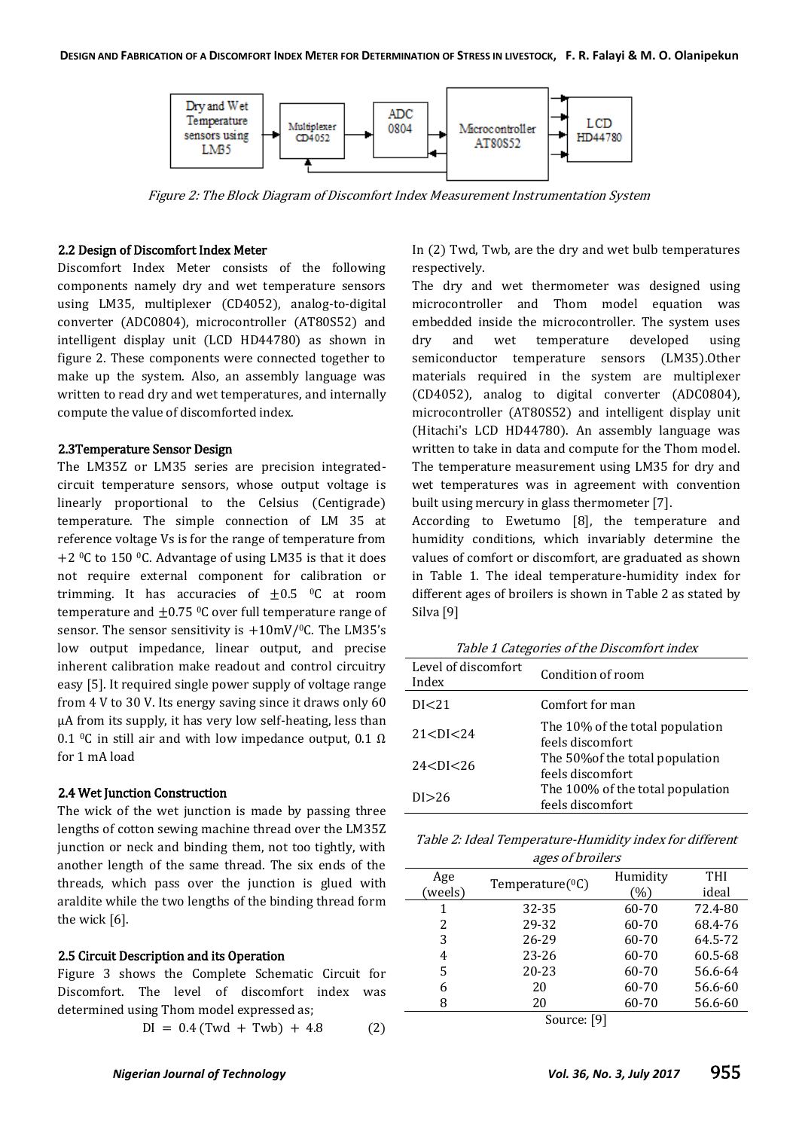

Figure 2: The Block Diagram of Discomfort Index Measurement Instrumentation System

#### 2.2 Design of Discomfort Index Meter

Discomfort Index Meter consists of the following components namely dry and wet temperature sensors using LM35, multiplexer (CD4052), analog-to-digital converter (ADC0804), microcontroller (AT80S52) and intelligent display unit (LCD HD44780) as shown in figure 2. These components were connected together to make up the system. Also, an assembly language was written to read dry and wet temperatures, and internally compute the value of discomforted index.

### 2.3Temperature Sensor Design

The LM35Z or LM35 series are precision integratedcircuit temperature sensors, whose output voltage is linearly proportional to the Celsius (Centigrade) temperature. The simple connection of LM 35 at reference voltage Vs is for the range of temperature from +2  $\degree$ C to 150  $\degree$ C. Advantage of using LM35 is that it does not require external component for calibration or trimming. It has accuracies of  $\pm 0.5$  <sup>o</sup>C at room temperature and  $\pm 0.75$  °C over full temperature range of sensor. The sensor sensitivity is  $+10$ mV/<sup>0</sup>C. The LM35's low output impedance, linear output, and precise inherent calibration make readout and control circuitry easy [5]. It required single power supply of voltage range from 4 V to 30 V. Its energy saving since it draws only 60 μA from its supply, it has very low self-heating, less than 0.1 <sup>o</sup>C in still air and with low impedance output, 0.1  $\Omega$ for 1 mA load

#### 2.4 Wet Junction Construction

The wick of the wet junction is made by passing three lengths of cotton sewing machine thread over the LM35Z junction or neck and binding them, not too tightly, with another length of the same thread. The six ends of the threads, which pass over the junction is glued with araldite while the two lengths of the binding thread form the wick [6].

#### 2.5 Circuit Description and its Operation

Figure 3 shows the Complete Schematic Circuit for Discomfort. The level of discomfort index was determined using Thom model expressed as;

$$
DI = 0.4 (Twd + Twb) + 4.8 \tag{2}
$$

In (2) Twd, Twb, are the dry and wet bulb temperatures respectively.

The dry and wet thermometer was designed using microcontroller and Thom model equation was embedded inside the microcontroller. The system uses dry and wet temperature developed using semiconductor temperature sensors (LM35).Other materials required in the system are multiplexer (CD4052), analog to digital converter (ADC0804), microcontroller (AT80S52) and intelligent display unit (Hitachi's LCD HD44780). An assembly language was written to take in data and compute for the Thom model. The temperature measurement using LM35 for dry and wet temperatures was in agreement with convention built using mercury in glass thermometer [7].

According to Ewetumo [8], the temperature and humidity conditions, which invariably determine the values of comfort or discomfort, are graduated as shown in Table 1. The ideal temperature-humidity index for different ages of broilers is shown in Table 2 as stated by Silva [9]

Table 1 Categories of the Discomfort index

| Level of discomfort<br>Index | Condition of room                                    |
|------------------------------|------------------------------------------------------|
| DI < 21                      | Comfort for man                                      |
| 21 < DI < 24                 | The 10% of the total population<br>feels discomfort  |
| 24 < DI < 26                 | The 50% of the total population<br>feels discomfort  |
| DI > 26                      | The 100% of the total population<br>feels discomfort |

Table 2: Ideal Temperature-Humidity index for different ages of broilers

|             | ັ                     |          |            |  |  |
|-------------|-----------------------|----------|------------|--|--|
| Age         |                       | Humidity | <b>THI</b> |  |  |
| (weels)     | Temperature $(^{0}C)$ | (%)      | ideal      |  |  |
| 1           | 32-35                 | 60-70    | 72.4-80    |  |  |
| 2           | 29-32                 | 60-70    | 68.4-76    |  |  |
| 3           | 26-29                 | 60-70    | 64.5-72    |  |  |
| 4           | $23 - 26$             | 60-70    | 60.5-68    |  |  |
| 5           | $20 - 23$             | 60-70    | 56.6-64    |  |  |
| 6           | 20                    | 60-70    | 56.6-60    |  |  |
| 8           | 20                    |          | 56.6-60    |  |  |
| Source: [9] |                       |          |            |  |  |

Source: [9]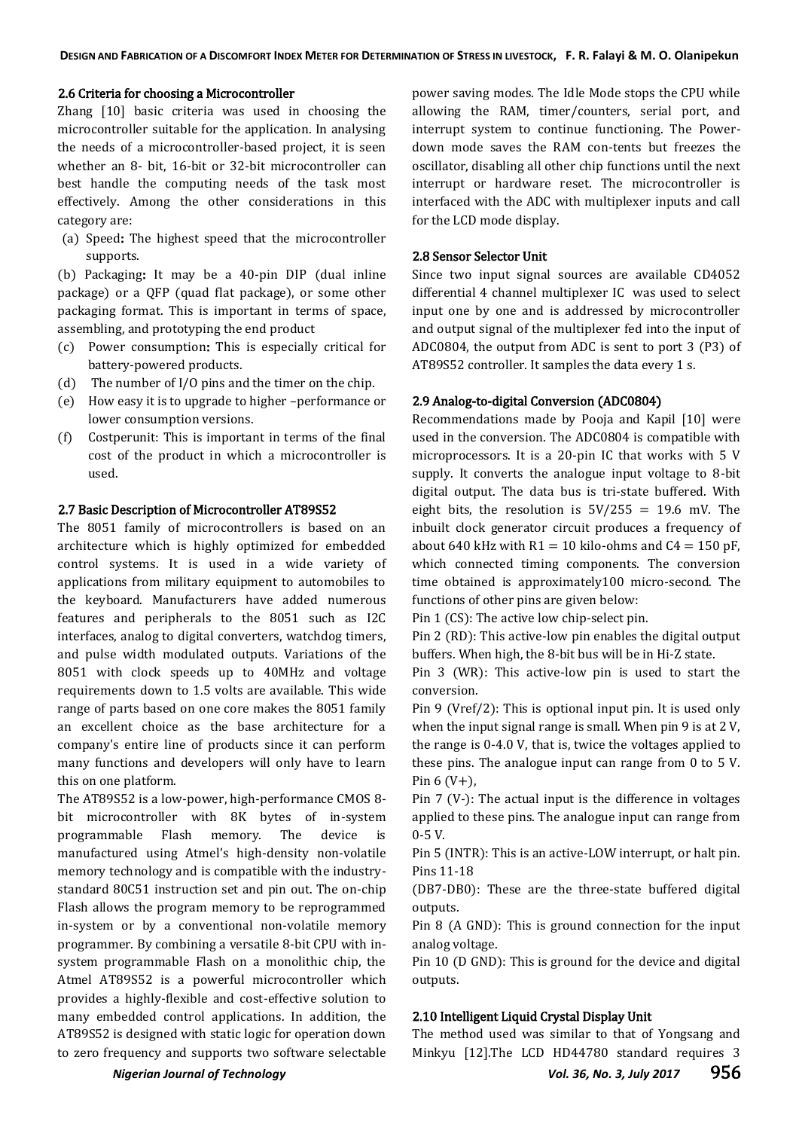### 2.6 Criteria for choosing a Microcontroller

Zhang [10] basic criteria was used in choosing the microcontroller suitable for the application. In analysing the needs of a microcontroller-based project, it is seen whether an 8- bit, 16-bit or 32-bit microcontroller can best handle the computing needs of the task most effectively. Among the other considerations in this category are:

(a) Speed: The highest speed that the microcontroller supports.

(b) Packaging: It may be a 40-pin DIP (dual inline package) or a QFP (quad flat package), or some other packaging format. This is important in terms of space, assembling, and prototyping the end product

- (c) Power consumption: This is especially critical for battery-powered products.
- (d) The number of I/O pins and the timer on the chip.
- (e) How easy it is to upgrade to higher –performance or lower consumption versions.
- (f) Costperunit: This is important in terms of the final cost of the product in which a microcontroller is used.

### 2.7 Basic Description of Microcontroller AT89S52

The 8051 family of microcontrollers is based on an architecture which is highly optimized for embedded control systems. It is used in a wide variety of applications from military equipment to automobiles to the keyboard. Manufacturers have added numerous features and peripherals to the 8051 such as I2C interfaces, analog to digital converters, watchdog timers, and pulse width modulated outputs. Variations of the 8051 with clock speeds up to 40MHz and voltage requirements down to 1.5 volts are available. This wide range of parts based on one core makes the 8051 family an excellent choice as the base architecture for a company's entire line of products since it can perform many functions and developers will only have to learn this on one platform.

The AT89S52 is a low-power, high-performance CMOS 8 bit microcontroller with 8K bytes of in-system programmable Flash memory. The device is manufactured using Atmel's high-density non-volatile memory technology and is compatible with the industrystandard 80C51 instruction set and pin out. The on-chip Flash allows the program memory to be reprogrammed in-system or by a conventional non-volatile memory programmer. By combining a versatile 8-bit CPU with insystem programmable Flash on a monolithic chip, the Atmel AT89S52 is a powerful microcontroller which provides a highly-flexible and cost-effective solution to many embedded control applications. In addition, the AT89S52 is designed with static logic for operation down to zero frequency and supports two software selectable

power saving modes. The Idle Mode stops the CPU while allowing the RAM, timer/counters, serial port, and interrupt system to continue functioning. The Powerdown mode saves the RAM con-tents but freezes the oscillator, disabling all other chip functions until the next interrupt or hardware reset. The microcontroller is interfaced with the ADC with multiplexer inputs and call for the LCD mode display.

## 2.8 Sensor Selector Unit

Since two input signal sources are available CD4052 differential 4 channel multiplexer IC was used to select input one by one and is addressed by microcontroller and output signal of the multiplexer fed into the input of ADC0804, the output from ADC is sent to port 3 (P3) of AT89S52 controller. It samples the data every 1 s.

### 2.9 Analog-to-digital Conversion (ADC0804)

Recommendations made by Pooja and Kapil [10] were used in the conversion. The ADC0804 is compatible with microprocessors. It is a 20-pin IC that works with 5 V supply. It converts the analogue input voltage to 8-bit digital output. The data bus is tri-state buffered. With eight bits, the resolution is  $5V/255 = 19.6$  mV. The inbuilt clock generator circuit produces a frequency of about 640 kHz with  $R1 = 10$  kilo-ohms and  $C4 = 150$  pF, which connected timing components. The conversion time obtained is approximately100 micro-second. The functions of other pins are given below:

Pin 1 (CS): The active low chip-select pin.

Pin 2 (RD): This active-low pin enables the digital output buffers. When high, the 8-bit bus will be in Hi-Z state.

Pin 3 (WR): This active-low pin is used to start the conversion.

Pin 9 (Vref/2): This is optional input pin. It is used only when the input signal range is small. When pin 9 is at 2 V, the range is 0-4.0 V, that is, twice the voltages applied to these pins. The analogue input can range from 0 to 5 V. Pin  $6 (V+)$ ,

Pin 7 (V-): The actual input is the difference in voltages applied to these pins. The analogue input can range from 0-5 V.

Pin 5 (INTR): This is an active-LOW interrupt, or halt pin. Pins 11-18

(DB7-DB0): These are the three-state buffered digital outputs.

Pin 8 (A GND): This is ground connection for the input analog voltage.

Pin 10 (D GND): This is ground for the device and digital outputs.

# 2.10 Intelligent Liquid Crystal Display Unit

The method used was similar to that of Yongsang and Minkyu [12].The LCD HD44780 standard requires 3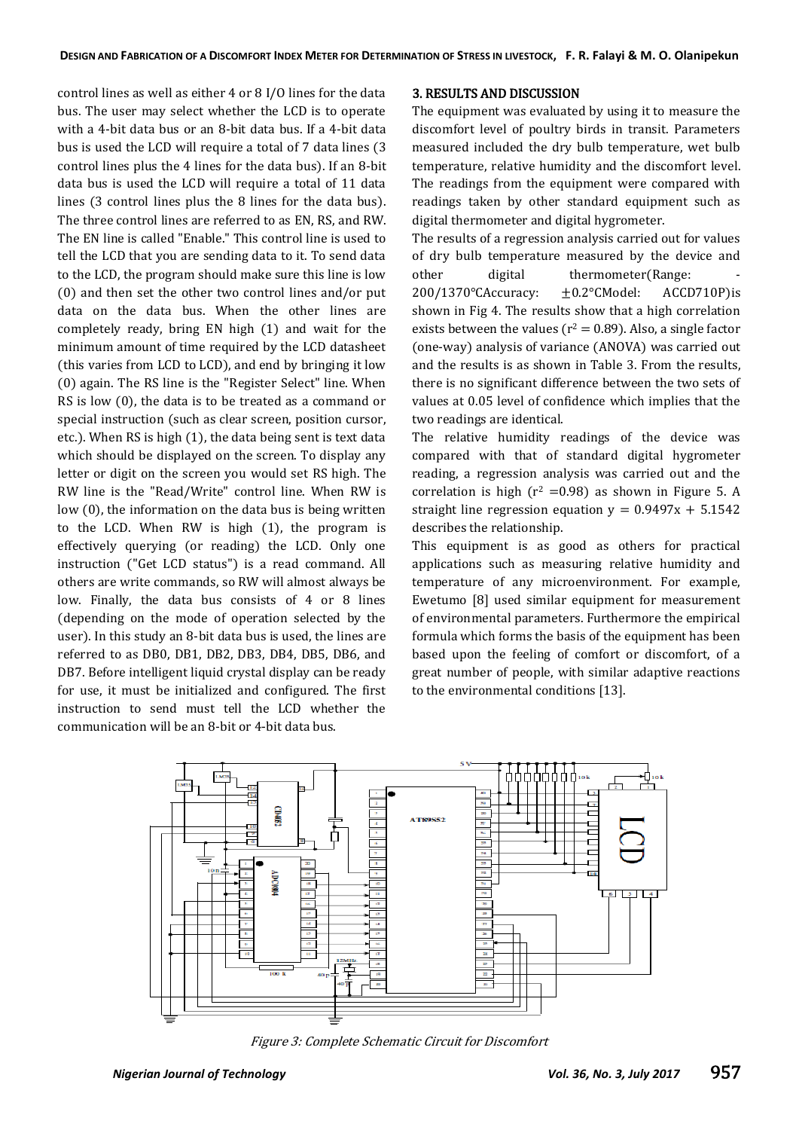control lines as well as either 4 or 8 I/O lines for the data bus. The user may select whether the LCD is to operate with a 4-bit data bus or an 8-bit data bus. If a 4-bit data bus is used the LCD will require a total of 7 data lines (3 control lines plus the 4 lines for the data bus). If an 8-bit data bus is used the LCD will require a total of 11 data lines (3 control lines plus the 8 lines for the data bus). The three control lines are referred to as EN, RS, and RW. The EN line is called "Enable." This control line is used to tell the LCD that you are sending data to it. To send data to the LCD, the program should make sure this line is low (0) and then set the other two control lines and/or put data on the data bus. When the other lines are completely ready, bring EN high (1) and wait for the minimum amount of time required by the LCD datasheet (this varies from LCD to LCD), and end by bringing it low (0) again. The RS line is the "Register Select" line. When RS is low (0), the data is to be treated as a command or special instruction (such as clear screen, position cursor, etc.). When RS is high (1), the data being sent is text data which should be displayed on the screen. To display any letter or digit on the screen you would set RS high. The RW line is the "Read/Write" control line. When RW is low (0), the information on the data bus is being written to the LCD. When RW is high (1), the program is effectively querying (or reading) the LCD. Only one instruction ("Get LCD status") is a read command. All others are write commands, so RW will almost always be low. Finally, the data bus consists of 4 or 8 lines (depending on the mode of operation selected by the user). In this study an 8-bit data bus is used, the lines are referred to as DB0, DB1, DB2, DB3, DB4, DB5, DB6, and DB7. Before intelligent liquid crystal display can be ready for use, it must be initialized and configured. The first instruction to send must tell the LCD whether the communication will be an 8-bit or 4-bit data bus.

# 3. RESULTS AND DISCUSSION

The equipment was evaluated by using it to measure the discomfort level of poultry birds in transit. Parameters measured included the dry bulb temperature, wet bulb temperature, relative humidity and the discomfort level. The readings from the equipment were compared with readings taken by other standard equipment such as digital thermometer and digital hygrometer.

The results of a regression analysis carried out for values of dry bulb temperature measured by the device and other digital thermometer(Range: 200/1370°CAccuracy: ±0.2°CModel: ACCD710P)is shown in Fig 4. The results show that a high correlation exists between the values ( $r^2 = 0.89$ ). Also, a single factor (one-way) analysis of variance (ANOVA) was carried out and the results is as shown in Table 3. From the results, there is no significant difference between the two sets of values at 0.05 level of confidence which implies that the two readings are identical.

The relative humidity readings of the device was compared with that of standard digital hygrometer reading, a regression analysis was carried out and the correlation is high ( $r^2$  =0.98) as shown in Figure 5. A straight line regression equation  $y = 0.9497x + 5.1542$ describes the relationship.

This equipment is as good as others for practical applications such as measuring relative humidity and temperature of any microenvironment. For example, Ewetumo [8] used similar equipment for measurement of environmental parameters. Furthermore the empirical formula which forms the basis of the equipment has been based upon the feeling of comfort or discomfort, of a great number of people, with similar adaptive reactions to the environmental conditions [13].



Figure 3: Complete Schematic Circuit for Discomfort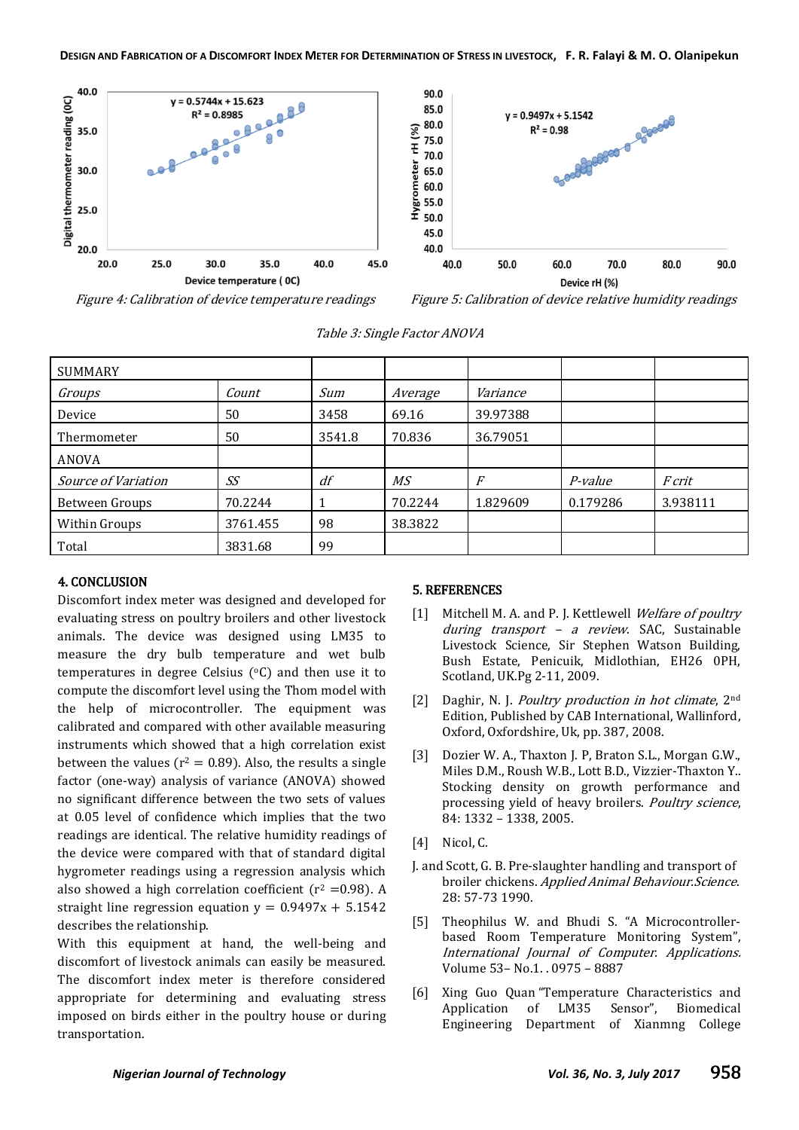

Figure 4: Calibration of device temperature readings Figure 5: Calibration of device relative humidity readings

| <b>SUMMARY</b>      |          |        |         |          |          |               |
|---------------------|----------|--------|---------|----------|----------|---------------|
| Groups              | Count    | Sum    | Average | Variance |          |               |
| Device              | 50       | 3458   | 69.16   | 39.97388 |          |               |
| Thermometer         | 50       | 3541.8 | 70.836  | 36.79051 |          |               |
| ANOVA               |          |        |         |          |          |               |
| Source of Variation | SS       | df     | MS      | F        | P-value  | <i>F</i> crit |
| Between Groups      | 70.2244  |        | 70.2244 | 1.829609 | 0.179286 | 3.938111      |
| Within Groups       | 3761.455 | 98     | 38.3822 |          |          |               |
| Total               | 3831.68  | 99     |         |          |          |               |

Table 3: Single Factor ANOVA

# 4. CONCLUSION

Discomfort index meter was designed and developed for evaluating stress on poultry broilers and other livestock animals. The device was designed using LM35 to measure the dry bulb temperature and wet bulb temperatures in degree Celsius  $(°C)$  and then use it to compute the discomfort level using the Thom model with the help of microcontroller. The equipment was calibrated and compared with other available measuring instruments which showed that a high correlation exist between the values ( $r^2 = 0.89$ ). Also, the results a single factor (one-way) analysis of variance (ANOVA) showed no significant difference between the two sets of values at 0.05 level of confidence which implies that the two readings are identical. The relative humidity readings of the device were compared with that of standard digital hygrometer readings using a regression analysis which also showed a high correlation coefficient  $(r^2 = 0.98)$ . A straight line regression equation  $y = 0.9497x + 5.1542$ describes the relationship.

With this equipment at hand, the well-being and discomfort of livestock animals can easily be measured. The discomfort index meter is therefore considered appropriate for determining and evaluating stress imposed on birds either in the poultry house or during transportation.

# 5. REFERENCES

- [1] Mitchell M. A. and P. J. Kettlewell Welfare of poultry during transport - a review. SAC, Sustainable Livestock Science, Sir Stephen Watson Building, Bush Estate, Penicuik, Midlothian, EH26 0PH, Scotland, UK.Pg 2-11, 2009.
- [2] Daghir, N. J. *Poultry production in hot climate*,  $2<sup>nd</sup>$ Edition, Published by CAB International, Wallinford, Oxford, Oxfordshire, Uk, pp. 387, 2008.
- [3] Dozier W. A., Thaxton J. P, Braton S.L., Morgan G.W., Miles D.M., Roush W.B., Lott B.D., Vizzier-Thaxton Y.. Stocking density on growth performance and processing yield of heavy broilers. Poultry science, 84: 1332 – 1338, 2005.
- [4] Nicol, C.
- J. and Scott, G. B. Pre-slaughter handling and transport of broiler chickens. Applied Animal Behaviour.Science. 28: 57-73 1990.
- [5] Theophilus W. and Bhudi S. "A Microcontrollerbased Room Temperature Monitoring System", International Journal of Computer. Applications. Volume 53– No.1. . 0975 – 8887
- [6] Xing Guo Quan "Temperature Characteristics and Application of LM35 Sensor", Biomedical Engineering Department of Xianmng College